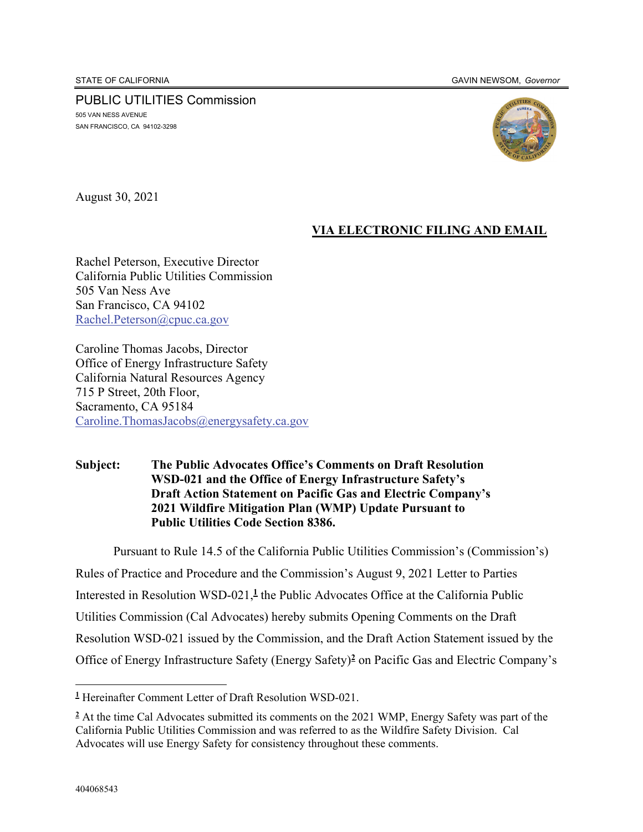PUBLIC UTILITIES Commission 505 VAN NESS AVENUE SAN FRANCISCO, CA 94102-3298



August 30, 2021

## **VIA ELECTRONIC FILING AND EMAIL**

Rachel Peterson, Executive Director California Public Utilities Commission 505 Van Ness Ave San Francisco, CA 94102 Rachel.Peterson@cpuc.ca.gov

Caroline Thomas Jacobs, Director Office of Energy Infrastructure Safety California Natural Resources Agency 715 P Street, 20th Floor, Sacramento, CA 95184 Caroline.ThomasJacobs@energysafety.ca.gov

#### **Subject: The Public Advocates Office's Comments on Draft Resolution WSD-021 and the Office of Energy Infrastructure Safety's Draft Action Statement on Pacific Gas and Electric Company's 2021 Wildfire Mitigation Plan (WMP) Update Pursuant to Public Utilities Code Section 8386.**

Pursuant to Rule 14.5 of the California Public Utilities Commission's (Commission's) Rules of Practice and Procedure and the Commission's August 9, 2021 Letter to Parties Interested in Resolution WSD-021,**<sup>1</sup>** the Public Advocates Office at the California Public Utilities Commission (Cal Advocates) hereby submits Opening Comments on the Draft Resolution WSD-021 issued by the Commission, and the Draft Action Statement issued by the Office of Energy Infrastructure Safety (Energy Safety)**<sup>2</sup>** on Pacific Gas and Electric Company's

**<sup>1</sup>** Hereinafter Comment Letter of Draft Resolution WSD-021.

<sup>&</sup>lt;sup>2</sup> At the time Cal Advocates submitted its comments on the 2021 WMP, Energy Safety was part of the California Public Utilities Commission and was referred to as the Wildfire Safety Division. Cal Advocates will use Energy Safety for consistency throughout these comments.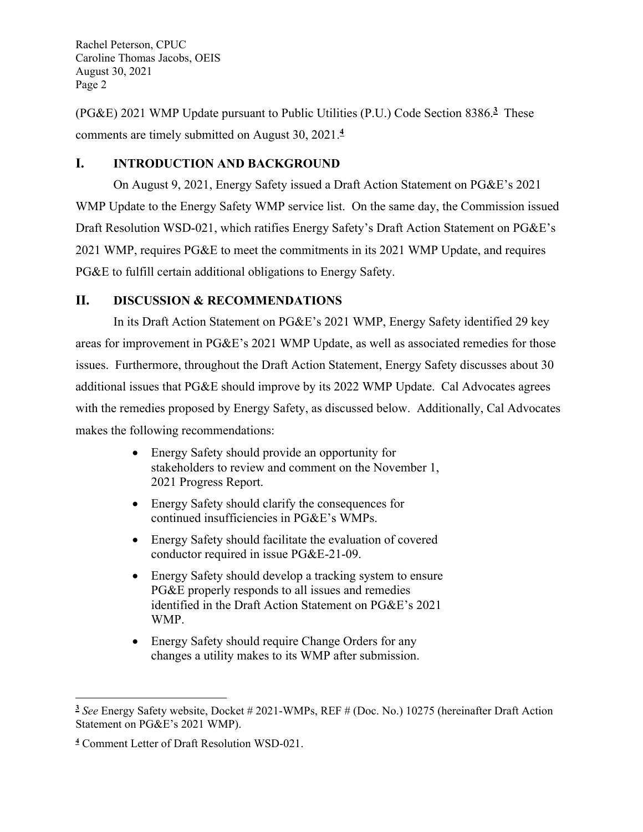(PG&E) 2021 WMP Update pursuant to Public Utilities (P.U.) Code Section 8386.**<sup>3</sup>** These comments are timely submitted on August 30, 2021.**<sup>4</sup>**

## **I. INTRODUCTION AND BACKGROUND**

On August 9, 2021, Energy Safety issued a Draft Action Statement on PG&E's 2021 WMP Update to the Energy Safety WMP service list. On the same day, the Commission issued Draft Resolution WSD-021, which ratifies Energy Safety's Draft Action Statement on PG&E's 2021 WMP, requires PG&E to meet the commitments in its 2021 WMP Update, and requires PG&E to fulfill certain additional obligations to Energy Safety.

# **II. DISCUSSION & RECOMMENDATIONS**

In its Draft Action Statement on PG&E's 2021 WMP, Energy Safety identified 29 key areas for improvement in PG&E's 2021 WMP Update, as well as associated remedies for those issues. Furthermore, throughout the Draft Action Statement, Energy Safety discusses about 30 additional issues that PG&E should improve by its 2022 WMP Update. Cal Advocates agrees with the remedies proposed by Energy Safety, as discussed below. Additionally, Cal Advocates makes the following recommendations:

- Energy Safety should provide an opportunity for stakeholders to review and comment on the November 1, 2021 Progress Report.
- Energy Safety should clarify the consequences for continued insufficiencies in PG&E's WMPs.
- Energy Safety should facilitate the evaluation of covered conductor required in issue PG&E-21-09.
- Energy Safety should develop a tracking system to ensure PG&E properly responds to all issues and remedies identified in the Draft Action Statement on PG&E's 2021 WMP.
- Energy Safety should require Change Orders for any changes a utility makes to its WMP after submission.

**<sup>3</sup>** *See* Energy Safety website, Docket # 2021-WMPs, REF # (Doc. No.) 10275 (hereinafter Draft Action Statement on PG&E's 2021 WMP).

**<sup>4</sup>** Comment Letter of Draft Resolution WSD-021.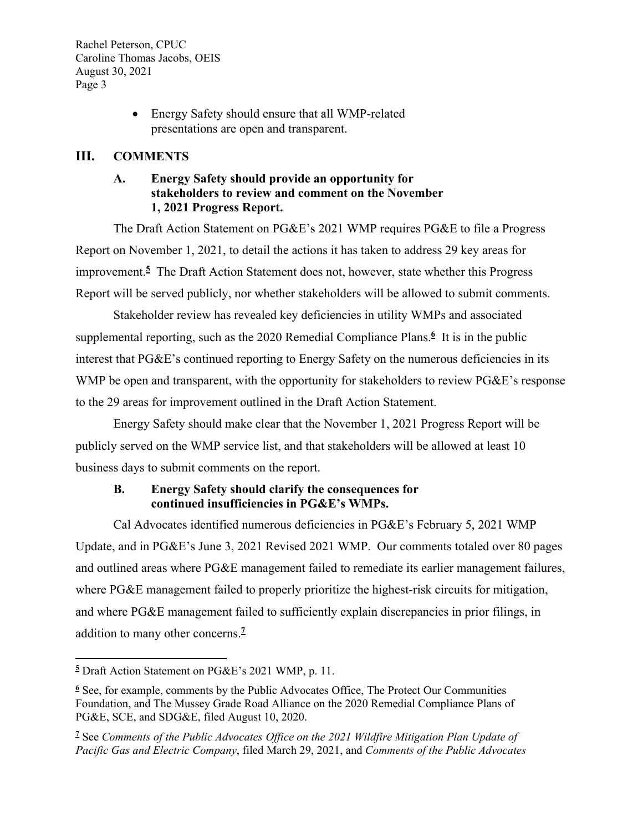> • Energy Safety should ensure that all WMP-related presentations are open and transparent.

## **III. COMMENTS**

## **A. Energy Safety should provide an opportunity for stakeholders to review and comment on the November 1, 2021 Progress Report.**

The Draft Action Statement on PG&E's 2021 WMP requires PG&E to file a Progress Report on November 1, 2021, to detail the actions it has taken to address 29 key areas for improvement.**<sup>5</sup>** The Draft Action Statement does not, however, state whether this Progress Report will be served publicly, nor whether stakeholders will be allowed to submit comments.

Stakeholder review has revealed key deficiencies in utility WMPs and associated supplemental reporting, such as the 2020 Remedial Compliance Plans.<sup>6</sup> It is in the public interest that PG&E's continued reporting to Energy Safety on the numerous deficiencies in its WMP be open and transparent, with the opportunity for stakeholders to review PG&E's response to the 29 areas for improvement outlined in the Draft Action Statement.

Energy Safety should make clear that the November 1, 2021 Progress Report will be publicly served on the WMP service list, and that stakeholders will be allowed at least 10 business days to submit comments on the report.

# **B. Energy Safety should clarify the consequences for continued insufficiencies in PG&E's WMPs.**

Cal Advocates identified numerous deficiencies in PG&E's February 5, 2021 WMP Update, and in PG&E's June 3, 2021 Revised 2021 WMP. Our comments totaled over 80 pages and outlined areas where PG&E management failed to remediate its earlier management failures, where PG&E management failed to properly prioritize the highest-risk circuits for mitigation, and where PG&E management failed to sufficiently explain discrepancies in prior filings, in addition to many other concerns.**<sup>7</sup>**

**<sup>5</sup>** Draft Action Statement on PG&E's 2021 WMP, p. 11.

**<sup>6</sup>** See, for example, comments by the Public Advocates Office, The Protect Our Communities Foundation, and The Mussey Grade Road Alliance on the 2020 Remedial Compliance Plans of PG&E, SCE, and SDG&E, filed August 10, 2020.

**<sup>7</sup>** See *Comments of the Public Advocates Office on the 2021 Wildfire Mitigation Plan Update of Pacific Gas and Electric Company*, filed March 29, 2021, and *Comments of the Public Advocates*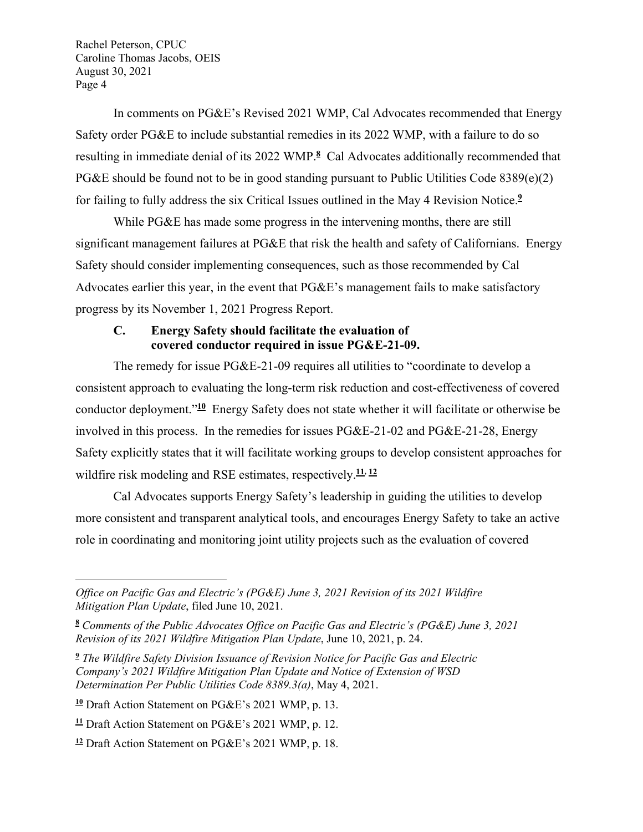In comments on PG&E's Revised 2021 WMP, Cal Advocates recommended that Energy Safety order PG&E to include substantial remedies in its 2022 WMP, with a failure to do so resulting in immediate denial of its 2022 WMP.**<sup>8</sup>** Cal Advocates additionally recommended that PG&E should be found not to be in good standing pursuant to Public Utilities Code 8389(e)(2) for failing to fully address the six Critical Issues outlined in the May 4 Revision Notice.**<sup>9</sup>**

While PG&E has made some progress in the intervening months, there are still significant management failures at PG&E that risk the health and safety of Californians. Energy Safety should consider implementing consequences, such as those recommended by Cal Advocates earlier this year, in the event that PG&E's management fails to make satisfactory progress by its November 1, 2021 Progress Report.

#### **C. Energy Safety should facilitate the evaluation of covered conductor required in issue PG&E-21-09.**

The remedy for issue PG&E-21-09 requires all utilities to "coordinate to develop a consistent approach to evaluating the long-term risk reduction and cost-effectiveness of covered conductor deployment."**<sup>10</sup>** Energy Safety does not state whether it will facilitate or otherwise be involved in this process. In the remedies for issues PG&E-21-02 and PG&E-21-28, Energy Safety explicitly states that it will facilitate working groups to develop consistent approaches for wildfire risk modeling and RSE estimates, respectively.**<sup>11</sup>**, **<sup>12</sup>**

Cal Advocates supports Energy Safety's leadership in guiding the utilities to develop more consistent and transparent analytical tools, and encourages Energy Safety to take an active role in coordinating and monitoring joint utility projects such as the evaluation of covered

*Office on Pacific Gas and Electric's (PG&E) June 3, 2021 Revision of its 2021 Wildfire Mitigation Plan Update*, filed June 10, 2021.

**<sup>8</sup>** *Comments of the Public Advocates Office on Pacific Gas and Electric's (PG&E) June 3, 2021 Revision of its 2021 Wildfire Mitigation Plan Update*, June 10, 2021, p. 24.

**<sup>9</sup>** *The Wildfire Safety Division Issuance of Revision Notice for Pacific Gas and Electric Company's 2021 Wildfire Mitigation Plan Update and Notice of Extension of WSD Determination Per Public Utilities Code 8389.3(a)*, May 4, 2021.

**<sup>10</sup>** Draft Action Statement on PG&E's 2021 WMP, p. 13.

**<sup>11</sup>** Draft Action Statement on PG&E's 2021 WMP, p. 12.

**<sup>12</sup>** Draft Action Statement on PG&E's 2021 WMP, p. 18.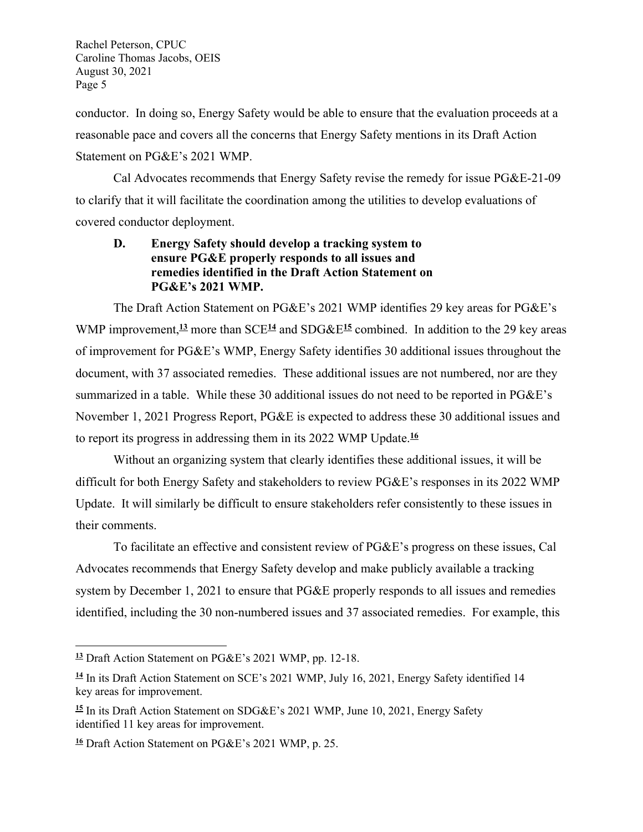conductor. In doing so, Energy Safety would be able to ensure that the evaluation proceeds at a reasonable pace and covers all the concerns that Energy Safety mentions in its Draft Action Statement on PG&E's 2021 WMP.

Cal Advocates recommends that Energy Safety revise the remedy for issue PG&E-21-09 to clarify that it will facilitate the coordination among the utilities to develop evaluations of covered conductor deployment.

#### **D. Energy Safety should develop a tracking system to ensure PG&E properly responds to all issues and remedies identified in the Draft Action Statement on PG&E's 2021 WMP.**

The Draft Action Statement on PG&E's 2021 WMP identifies 29 key areas for PG&E's WMP improvement,<sup>13</sup> more than SCE<sup>14</sup> and SDG&E<sup>15</sup> combined. In addition to the 29 key areas of improvement for PG&E's WMP, Energy Safety identifies 30 additional issues throughout the document, with 37 associated remedies. These additional issues are not numbered, nor are they summarized in a table. While these 30 additional issues do not need to be reported in PG&E's November 1, 2021 Progress Report, PG&E is expected to address these 30 additional issues and to report its progress in addressing them in its 2022 WMP Update.**<sup>16</sup>**

Without an organizing system that clearly identifies these additional issues, it will be difficult for both Energy Safety and stakeholders to review PG&E's responses in its 2022 WMP Update. It will similarly be difficult to ensure stakeholders refer consistently to these issues in their comments.

To facilitate an effective and consistent review of PG&E's progress on these issues, Cal Advocates recommends that Energy Safety develop and make publicly available a tracking system by December 1, 2021 to ensure that PG&E properly responds to all issues and remedies identified, including the 30 non-numbered issues and 37 associated remedies. For example, this

**<sup>13</sup>** Draft Action Statement on PG&E's 2021 WMP, pp. 12-18.

**<sup>14</sup>** In its Draft Action Statement on SCE's 2021 WMP, July 16, 2021, Energy Safety identified 14 key areas for improvement.

**<sup>15</sup>** In its Draft Action Statement on SDG&E's 2021 WMP, June 10, 2021, Energy Safety identified 11 key areas for improvement.

**<sup>16</sup>** Draft Action Statement on PG&E's 2021 WMP, p. 25.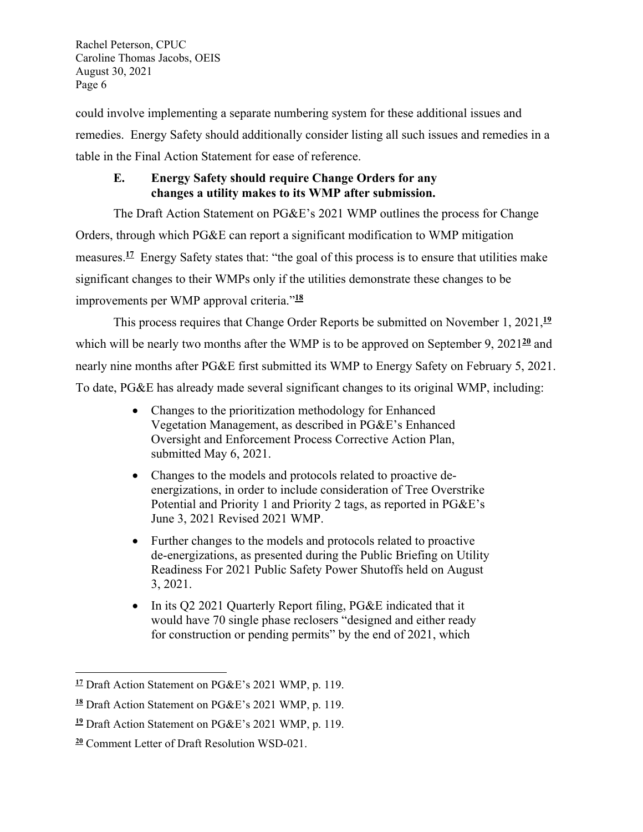could involve implementing a separate numbering system for these additional issues and remedies. Energy Safety should additionally consider listing all such issues and remedies in a table in the Final Action Statement for ease of reference.

## **E. Energy Safety should require Change Orders for any changes a utility makes to its WMP after submission.**

The Draft Action Statement on PG&E's 2021 WMP outlines the process for Change Orders, through which PG&E can report a significant modification to WMP mitigation measures.<sup>17</sup> Energy Safety states that: "the goal of this process is to ensure that utilities make significant changes to their WMPs only if the utilities demonstrate these changes to be improvements per WMP approval criteria."**<sup>18</sup>**

This process requires that Change Order Reports be submitted on November 1, 2021,**<sup>19</sup>** which will be nearly two months after the WMP is to be approved on September 9, 2021<sup>20</sup> and nearly nine months after PG&E first submitted its WMP to Energy Safety on February 5, 2021. To date, PG&E has already made several significant changes to its original WMP, including:

- Changes to the prioritization methodology for Enhanced Vegetation Management, as described in PG&E's Enhanced Oversight and Enforcement Process Corrective Action Plan, submitted May 6, 2021.
- Changes to the models and protocols related to proactive deenergizations, in order to include consideration of Tree Overstrike Potential and Priority 1 and Priority 2 tags, as reported in PG&E's June 3, 2021 Revised 2021 WMP.
- Further changes to the models and protocols related to proactive de-energizations, as presented during the Public Briefing on Utility Readiness For 2021 Public Safety Power Shutoffs held on August 3, 2021.
- In its Q2 2021 Quarterly Report filing, PG&E indicated that it would have 70 single phase reclosers "designed and either ready for construction or pending permits" by the end of 2021, which

**<sup>17</sup>** Draft Action Statement on PG&E's 2021 WMP, p. 119.

**<sup>18</sup>** Draft Action Statement on PG&E's 2021 WMP, p. 119.

**<sup>19</sup>** Draft Action Statement on PG&E's 2021 WMP, p. 119.

**<sup>20</sup>** Comment Letter of Draft Resolution WSD-021.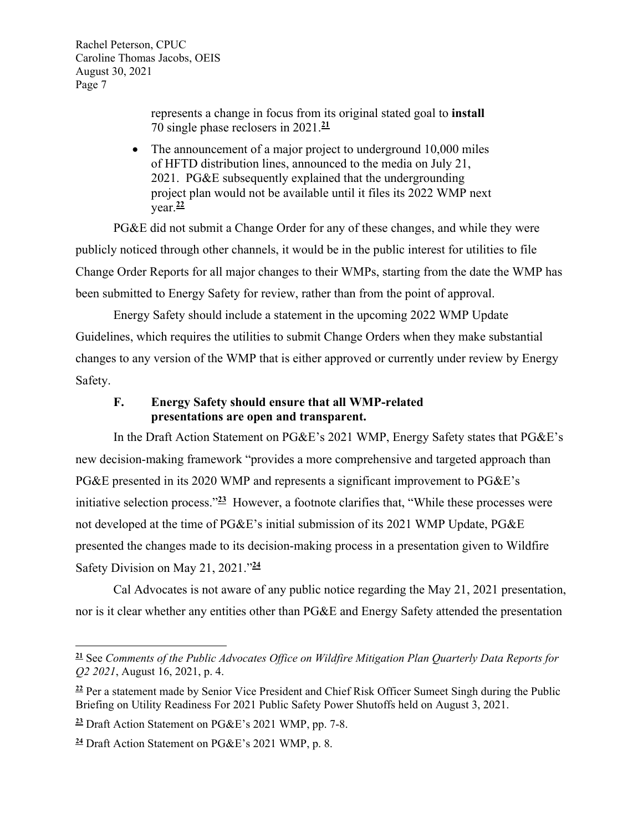> represents a change in focus from its original stated goal to **install** 70 single phase reclosers in 2021.**<sup>21</sup>**

• The announcement of a major project to underground 10,000 miles of HFTD distribution lines, announced to the media on July 21, 2021. PG&E subsequently explained that the undergrounding project plan would not be available until it files its 2022 WMP next year.**<sup>22</sup>**

PG&E did not submit a Change Order for any of these changes, and while they were publicly noticed through other channels, it would be in the public interest for utilities to file Change Order Reports for all major changes to their WMPs, starting from the date the WMP has been submitted to Energy Safety for review, rather than from the point of approval.

Energy Safety should include a statement in the upcoming 2022 WMP Update Guidelines, which requires the utilities to submit Change Orders when they make substantial changes to any version of the WMP that is either approved or currently under review by Energy Safety.

#### **F. Energy Safety should ensure that all WMP-related presentations are open and transparent.**

In the Draft Action Statement on PG&E's 2021 WMP, Energy Safety states that PG&E's new decision-making framework "provides a more comprehensive and targeted approach than PG&E presented in its 2020 WMP and represents a significant improvement to PG&E's initiative selection process."**<sup>23</sup>** However, a footnote clarifies that, "While these processes were not developed at the time of PG&E's initial submission of its 2021 WMP Update, PG&E presented the changes made to its decision-making process in a presentation given to Wildfire Safety Division on May 21, 2021."**<sup>24</sup>**

Cal Advocates is not aware of any public notice regarding the May 21, 2021 presentation, nor is it clear whether any entities other than PG&E and Energy Safety attended the presentation

**<sup>21</sup>** See *Comments of the Public Advocates Office on Wildfire Mitigation Plan Quarterly Data Reports for Q2 2021*, August 16, 2021, p. 4.

**<sup>22</sup>** Per a statement made by Senior Vice President and Chief Risk Officer Sumeet Singh during the Public Briefing on Utility Readiness For 2021 Public Safety Power Shutoffs held on August 3, 2021.

**<sup>23</sup>** Draft Action Statement on PG&E's 2021 WMP, pp. 7-8.

**<sup>24</sup>** Draft Action Statement on PG&E's 2021 WMP, p. 8.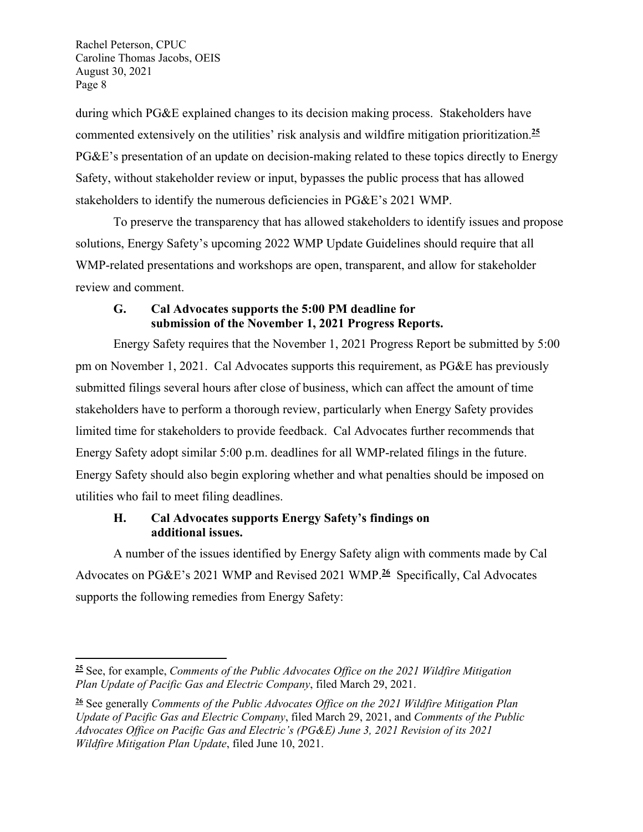during which PG&E explained changes to its decision making process. Stakeholders have commented extensively on the utilities' risk analysis and wildfire mitigation prioritization.**<sup>25</sup>** PG&E's presentation of an update on decision-making related to these topics directly to Energy Safety, without stakeholder review or input, bypasses the public process that has allowed stakeholders to identify the numerous deficiencies in PG&E's 2021 WMP.

To preserve the transparency that has allowed stakeholders to identify issues and propose solutions, Energy Safety's upcoming 2022 WMP Update Guidelines should require that all WMP-related presentations and workshops are open, transparent, and allow for stakeholder review and comment.

## **G. Cal Advocates supports the 5:00 PM deadline for submission of the November 1, 2021 Progress Reports.**

Energy Safety requires that the November 1, 2021 Progress Report be submitted by 5:00 pm on November 1, 2021. Cal Advocates supports this requirement, as PG&E has previously submitted filings several hours after close of business, which can affect the amount of time stakeholders have to perform a thorough review, particularly when Energy Safety provides limited time for stakeholders to provide feedback. Cal Advocates further recommends that Energy Safety adopt similar 5:00 p.m. deadlines for all WMP-related filings in the future. Energy Safety should also begin exploring whether and what penalties should be imposed on utilities who fail to meet filing deadlines.

# **H. Cal Advocates supports Energy Safety's findings on additional issues.**

A number of the issues identified by Energy Safety align with comments made by Cal Advocates on PG&E's 2021 WMP and Revised 2021 WMP.**<sup>26</sup>** Specifically, Cal Advocates supports the following remedies from Energy Safety:

**<sup>25</sup>** See, for example, *Comments of the Public Advocates Office on the 2021 Wildfire Mitigation Plan Update of Pacific Gas and Electric Company*, filed March 29, 2021.

**<sup>26</sup>** See generally *Comments of the Public Advocates Office on the 2021 Wildfire Mitigation Plan Update of Pacific Gas and Electric Company*, filed March 29, 2021, and *Comments of the Public Advocates Office on Pacific Gas and Electric's (PG&E) June 3, 2021 Revision of its 2021 Wildfire Mitigation Plan Update*, filed June 10, 2021.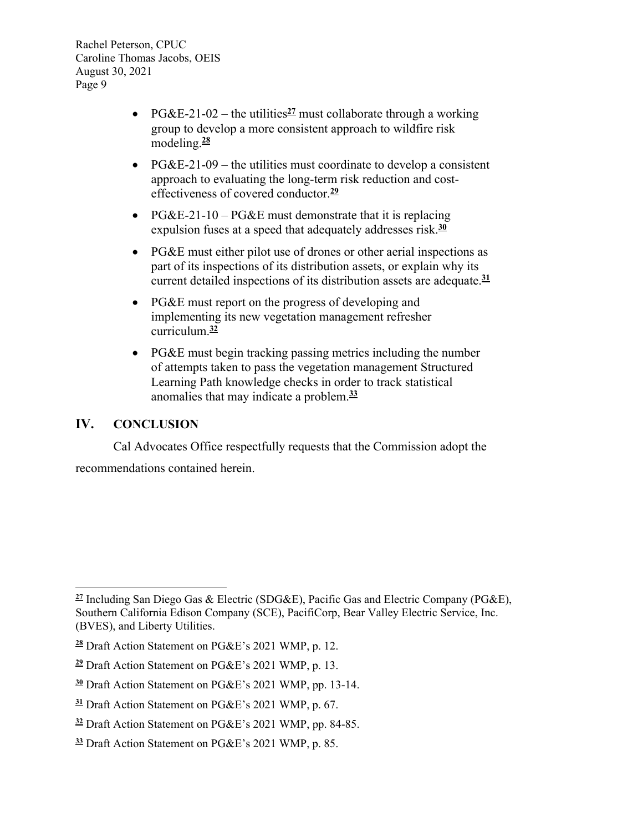- PG&E-21-02 the utilities  $\frac{27}{2}$  must collaborate through a working group to develop a more consistent approach to wildfire risk modeling.**<sup>28</sup>**
- PG&E-21-09 the utilities must coordinate to develop a consistent approach to evaluating the long-term risk reduction and costeffectiveness of covered conductor.**<sup>29</sup>**
- PG&E-21-10 PG&E must demonstrate that it is replacing expulsion fuses at a speed that adequately addresses risk.**<sup>30</sup>**
- PG&E must either pilot use of drones or other aerial inspections as part of its inspections of its distribution assets, or explain why its current detailed inspections of its distribution assets are adequate.**<sup>31</sup>**
- PG&E must report on the progress of developing and implementing its new vegetation management refresher curriculum.**<sup>32</sup>**
- PG&E must begin tracking passing metrics including the number of attempts taken to pass the vegetation management Structured Learning Path knowledge checks in order to track statistical anomalies that may indicate a problem.**<sup>33</sup>**

## **IV. CONCLUSION**

Cal Advocates Office respectfully requests that the Commission adopt the recommendations contained herein.

**<sup>27</sup>** Including San Diego Gas & Electric (SDG&E), Pacific Gas and Electric Company (PG&E), Southern California Edison Company (SCE), PacifiCorp, Bear Valley Electric Service, Inc. (BVES), and Liberty Utilities.

**<sup>28</sup>** Draft Action Statement on PG&E's 2021 WMP, p. 12.

**<sup>29</sup>** Draft Action Statement on PG&E's 2021 WMP, p. 13.

**<sup>30</sup>** Draft Action Statement on PG&E's 2021 WMP, pp. 13-14.

**<sup>31</sup>** Draft Action Statement on PG&E's 2021 WMP, p. 67.

**<sup>32</sup>** Draft Action Statement on PG&E's 2021 WMP, pp. 84-85.

**<sup>33</sup>** Draft Action Statement on PG&E's 2021 WMP, p. 85.